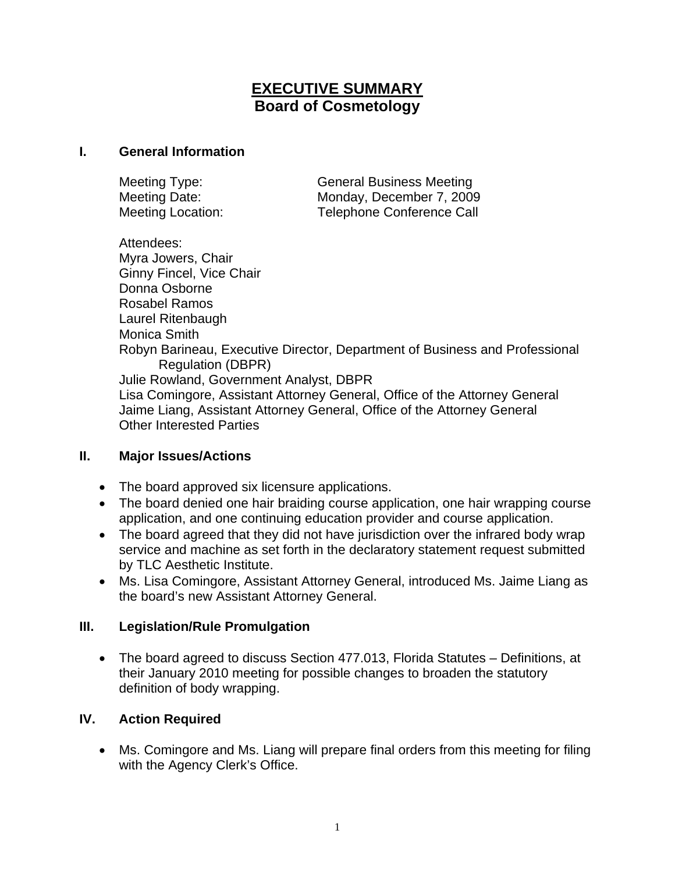# **EXECUTIVE SUMMARY Board of Cosmetology**

### **I. General Information**

Meeting Type: General Business Meeting Meeting Date: Monday, December 7, 2009 Meeting Location: Telephone Conference Call

Attendees: Myra Jowers, Chair Ginny Fincel, Vice Chair Donna Osborne Rosabel Ramos Laurel Ritenbaugh Monica Smith Robyn Barineau, Executive Director, Department of Business and Professional Regulation (DBPR) Julie Rowland, Government Analyst, DBPR Lisa Comingore, Assistant Attorney General, Office of the Attorney General Jaime Liang, Assistant Attorney General, Office of the Attorney General Other Interested Parties

## **II. Major Issues/Actions**

- The board approved six licensure applications.
- The board denied one hair braiding course application, one hair wrapping course application, and one continuing education provider and course application.
- The board agreed that they did not have jurisdiction over the infrared body wrap service and machine as set forth in the declaratory statement request submitted by TLC Aesthetic Institute.
- Ms. Lisa Comingore, Assistant Attorney General, introduced Ms. Jaime Liang as the board's new Assistant Attorney General.

## **III. Legislation/Rule Promulgation**

• The board agreed to discuss Section 477.013, Florida Statutes – Definitions, at their January 2010 meeting for possible changes to broaden the statutory definition of body wrapping.

## **IV. Action Required**

• Ms. Comingore and Ms. Liang will prepare final orders from this meeting for filing with the Agency Clerk's Office.